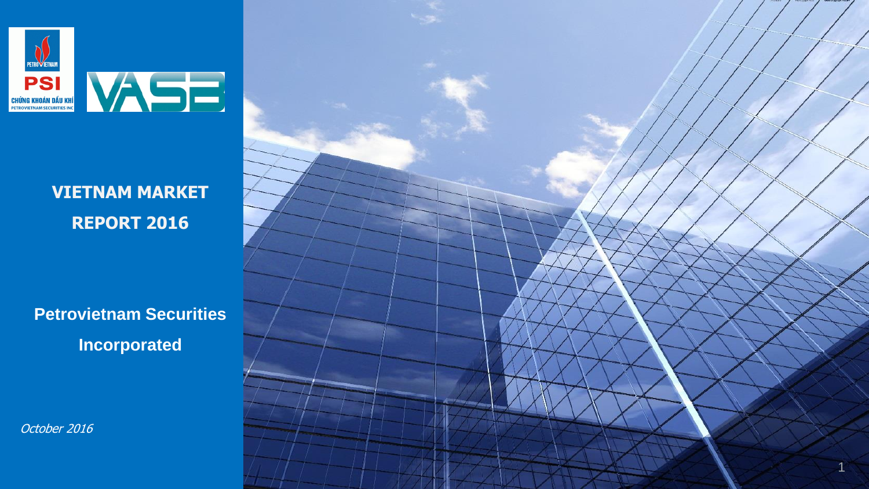

### **VIETNAM MARKET REPORT 2016**

**Petrovietnam Securities Incorporated**

October 2016

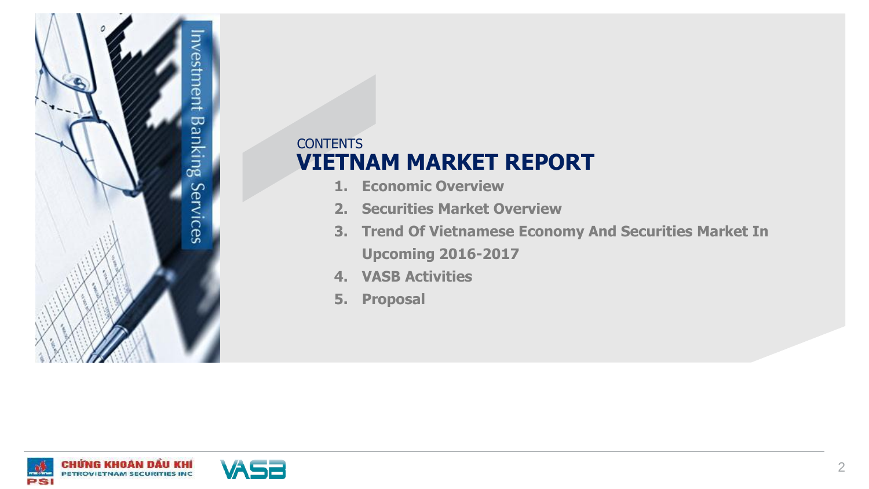

### **CONTENTS VIETNAM MARKET REPORT**

- **1. Economic Overview**
- **2. Securities Market Overview**
- **3. Trend Of Vietnamese Economy And Securities Market In Upcoming 2016-2017**
- **4. VASB Activities**
- **5. Proposal**



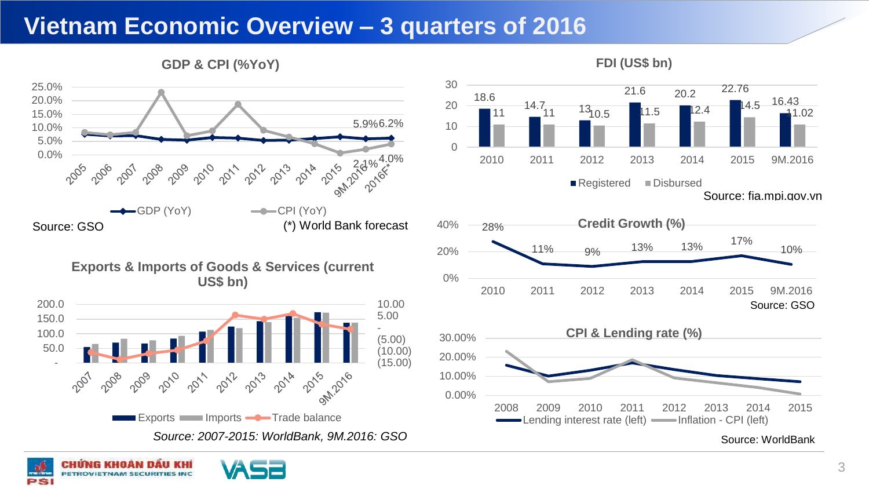### **Vietnam Economic Overview – 3 quarters of 2016**



**GDP & CPI (%YoY)**

*Source: 2007-2015: WorldBank, 9M.2016: GSO*





**FDI (US\$ bn)**



Source: WorldBank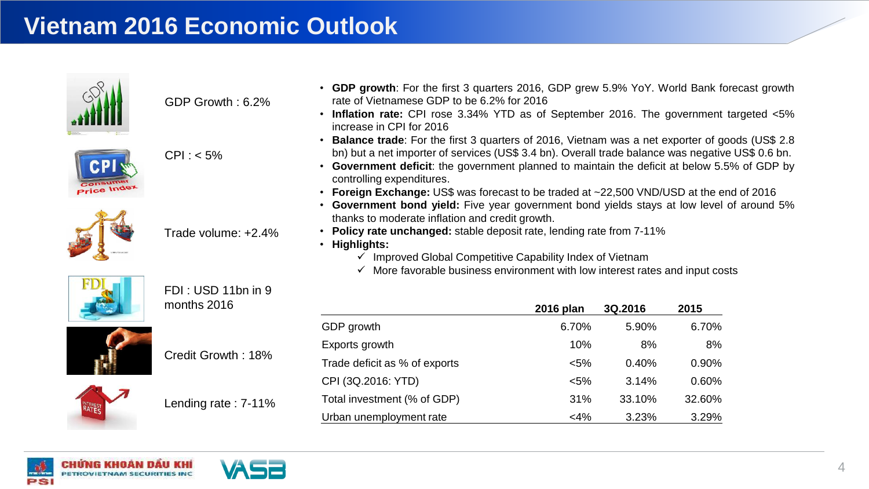

GDP Growth : 6.2%







Trade volume: +2.4%



FDI : USD 11bn in 9 months 2016



Credit Growth : 18%





- **GDP growth**: For the first 3 quarters 2016, GDP grew 5.9% YoY. World Bank forecast growth rate of Vietnamese GDP to be 6.2% for 2016
- **Inflation rate:** CPI rose 3.34% YTD as of September 2016. The government targeted <5% increase in CPI for 2016
- **Balance trade**: For the first 3 quarters of 2016, Vietnam was a net exporter of goods (US\$ 2.8 bn) but a net importer of services (US\$ 3.4 bn). Overall trade balance was negative US\$ 0.6 bn.
- **Government deficit**: the government planned to maintain the deficit at below 5.5% of GDP by controlling expenditures.
- **Foreign Exchange:** US\$ was forecast to be traded at ~22,500 VND/USD at the end of 2016
- **Government bond yield:** Five year government bond yields stays at low level of around 5% thanks to moderate inflation and credit growth.
- **Policy rate unchanged:** stable deposit rate, lending rate from 7-11%
- **Highlights:**
	- $\checkmark$  Improved Global Competitive Capability Index of Vietnam
	- $\checkmark$  More favorable business environment with low interest rates and input costs

|                               | 2016 plan | 3Q.2016 | 2015   |
|-------------------------------|-----------|---------|--------|
| GDP growth                    | 6.70%     | 5.90%   | 6.70%  |
| Exports growth                | 10%       | 8%      | 8%     |
| Trade deficit as % of exports | $< 5\%$   | 0.40%   | 0.90%  |
| CPI (3Q.2016: YTD)            | $< 5\%$   | 3.14%   | 0.60%  |
| Total investment (% of GDP)   | 31%       | 33.10%  | 32.60% |
| Urban unemployment rate       | $<$ 4%    | 3.23%   | 3.29%  |



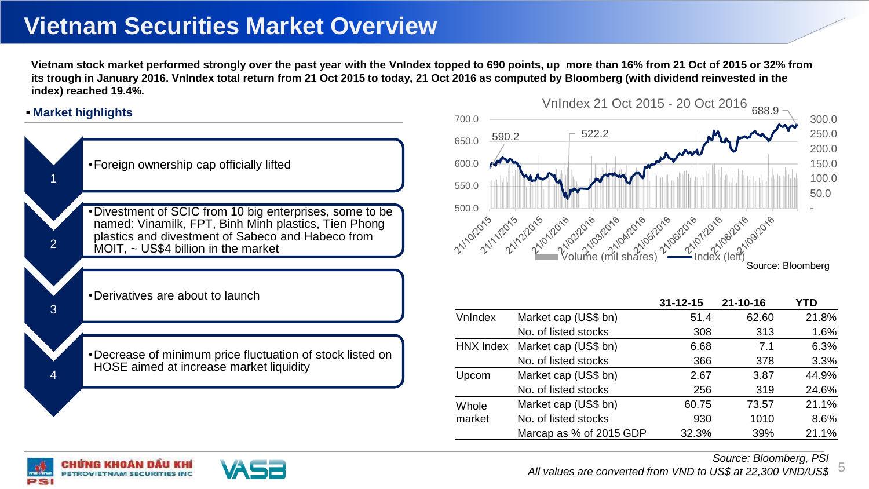## **Vietnam Securities Market Overview**

**Vietnam stock market performed strongly over the past year with the VnIndex topped to 690 points, up more than 16% from 21 Oct of 2015 or 32% from its trough in January 2016. VnIndex total return from 21 Oct 2015 to today, 21 Oct 2016 as computed by Bloomberg (with dividend reinvested in the index) reached 19.4%.** 

#### **Market highlights**

| $\sim$                         |
|--------------------------------|
| 590<br>650.0<br>600.0<br>550.0 |
| 500.0<br>11/10/2015 1/1/20     |
| VnIndex                        |
| <b>HNX Index</b><br>Upcom      |
| Whole<br>market                |
|                                |



|           |                         | $31 - 12 - 15$ | $21 - 10 - 16$ | YTD   |
|-----------|-------------------------|----------------|----------------|-------|
| VnIndex   | Market cap (US\$ bn)    | 51.4           | 62.60          | 21.8% |
|           | No. of listed stocks    | 308            | 313            | 1.6%  |
| HNX Index | Market cap (US\$ bn)    | 6.68           | 7.1            | 6.3%  |
|           | No. of listed stocks    | 366            | 378            | 3.3%  |
| Upcom     | Market cap (US\$ bn)    | 2.67           | 3.87           | 44.9% |
|           | No. of listed stocks    | 256            | 319            | 24.6% |
| Whole     | Market cap (US\$ bn)    | 60.75          | 73.57          | 21.1% |
| market    | No. of listed stocks    | 930            | 1010           | 8.6%  |
|           | Marcap as % of 2015 GDP | 32.3%          | 39%            | 21.1% |





*Source: Bloomberg, PSI All values are converted from VND to US\$ at 22,300 VND/US\$*

5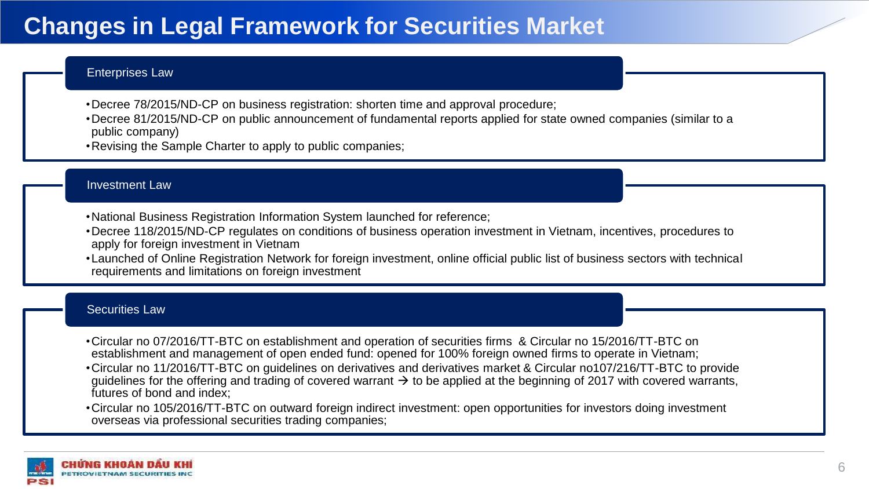# **Changes in Legal Framework for Securities Market**

#### Enterprises Law

- •Decree 78/2015/ND-CP on business registration: shorten time and approval procedure;
- •Decree 81/2015/ND-CP on public announcement of fundamental reports applied for state owned companies (similar to a public company)
- •Revising the Sample Charter to apply to public companies;

#### Investment Law

- •National Business Registration Information System launched for reference;
- •Decree 118/2015/ND-CP regulates on conditions of business operation investment in Vietnam, incentives, procedures to apply for foreign investment in Vietnam
- •Launched of Online Registration Network for foreign investment, online official public list of business sectors with technical requirements and limitations on foreign investment

#### Securities Law

- •Circular no 07/2016/TT-BTC on establishment and operation of securities firms & Circular no 15/2016/TT-BTC on establishment and management of open ended fund: opened for 100% foreign owned firms to operate in Vietnam;
- •Circular no 11/2016/TT-BTC on guidelines on derivatives and derivatives market & Circular no107/216/TT-BTC to provide quidelines for the offering and trading of covered warrant  $\rightarrow$  to be applied at the beginning of 2017 with covered warrants, futures of bond and index;
- •Circular no 105/2016/TT-BTC on outward foreign indirect investment: open opportunities for investors doing investment overseas via professional securities trading companies;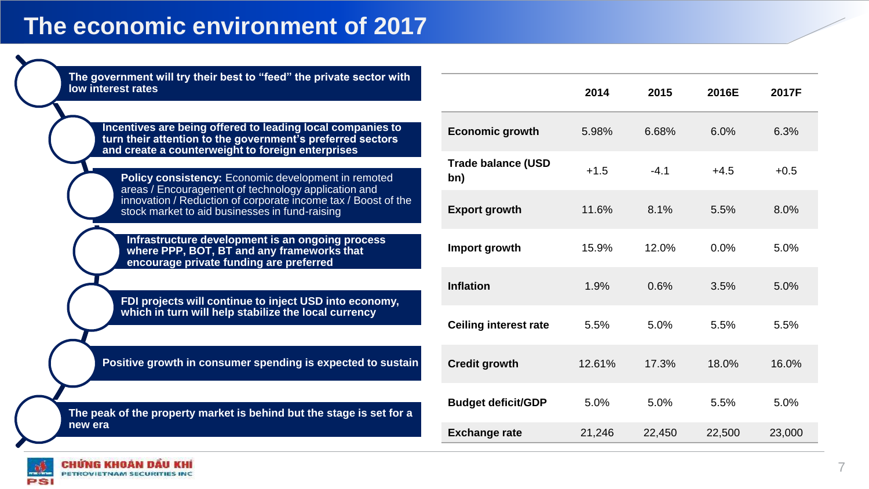| The government will try their best to "feed" the private sector with<br>low interest rates                                                                                                                                                                                                                                                                                                                     |                              | 2014   | 2015   | 2016E  | 2017F  |
|----------------------------------------------------------------------------------------------------------------------------------------------------------------------------------------------------------------------------------------------------------------------------------------------------------------------------------------------------------------------------------------------------------------|------------------------------|--------|--------|--------|--------|
| Incentives are being offered to leading local companies to<br>turn their attention to the government's preferred sectors<br>and create a counterweight to foreign enterprises<br>Policy consistency: Economic development in remoted<br>areas / Encouragement of technology application and<br>innovation / Reduction of corporate income tax / Boost of the<br>stock market to aid businesses in fund-raising | <b>Economic growth</b>       | 5.98%  | 6.68%  | 6.0%   | 6.3%   |
|                                                                                                                                                                                                                                                                                                                                                                                                                | Trade balance (USD<br>bn)    | $+1.5$ | $-4.1$ | $+4.5$ | $+0.5$ |
|                                                                                                                                                                                                                                                                                                                                                                                                                | <b>Export growth</b>         | 11.6%  | 8.1%   | 5.5%   | 8.0%   |
| Infrastructure development is an ongoing process<br>where PPP, BOT, BT and any frameworks that<br>encourage private funding are preferred                                                                                                                                                                                                                                                                      | Import growth                | 15.9%  | 12.0%  | 0.0%   | 5.0%   |
| FDI projects will continue to inject USD into economy,<br>which in turn will help stabilize the local currency                                                                                                                                                                                                                                                                                                 | Inflation                    | 1.9%   | 0.6%   | 3.5%   | 5.0%   |
|                                                                                                                                                                                                                                                                                                                                                                                                                | <b>Ceiling interest rate</b> | 5.5%   | 5.0%   | 5.5%   | 5.5%   |
| Positive growth in consumer spending is expected to sustain                                                                                                                                                                                                                                                                                                                                                    | <b>Credit growth</b>         | 12.61% | 17.3%  | 18.0%  | 16.0%  |
| The peak of the property market is behind but the stage is set for a<br>new era                                                                                                                                                                                                                                                                                                                                | <b>Budget deficit/GDP</b>    | 5.0%   | 5.0%   | 5.5%   | 5.0%   |
|                                                                                                                                                                                                                                                                                                                                                                                                                | <b>Exchange rate</b>         | 21,246 | 22,450 | 22,500 | 23,000 |

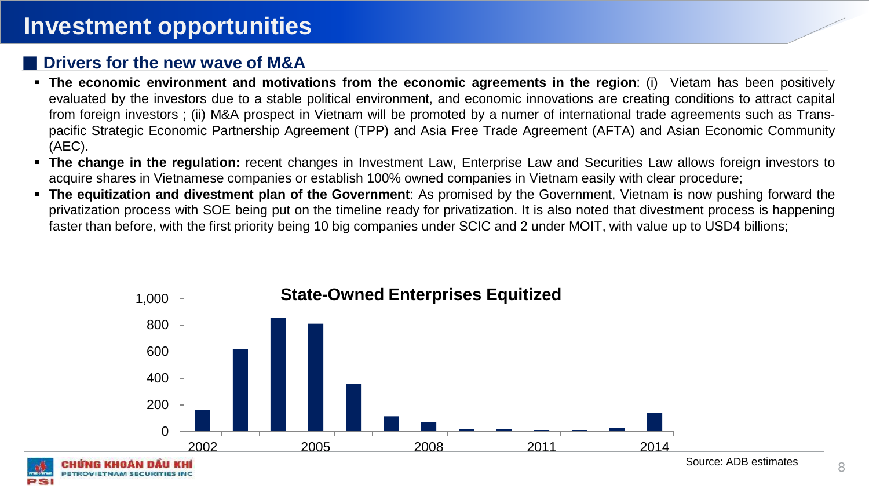## **Investment opportunities**

### **■ Drivers for the new wave of M&A**

- **The economic environment and motivations from the economic agreements in the region**: (i) Vietam has been positively evaluated by the investors due to a stable political environment, and economic innovations are creating conditions to attract capital from foreign investors ; (ii) M&A prospect in Vietnam will be promoted by a numer of international trade agreements such as Transpacific Strategic Economic Partnership Agreement (TPP) and Asia Free Trade Agreement (AFTA) and Asian Economic Community (AEC).
- **The change in the regulation:** recent changes in Investment Law, Enterprise Law and Securities Law allows foreign investors to acquire shares in Vietnamese companies or establish 100% owned companies in Vietnam easily with clear procedure;
- **The equitization and divestment plan of the Government**: As promised by the Government, Vietnam is now pushing forward the privatization process with SOE being put on the timeline ready for privatization. It is also noted that divestment process is happening faster than before, with the first priority being 10 big companies under SCIC and 2 under MOIT, with value up to USD4 billions;